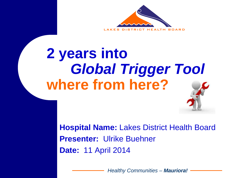

### **2 years into**  *Global Trigger Tool* **where from here?**

**Hospital Name:** Lakes District Health Board **Presenter:** Ulrike Buehner **Date:** 11 April 2014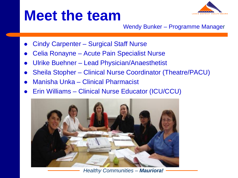### **Meet the team**



Wendy Bunker – Programme Manager

- Cindy Carpenter Surgical Staff Nurse
- Celia Ronayne Acute Pain Specialist Nurse
- Ulrike Buehner Lead Physician/Anaesthetist
- Sheila Stopher Clinical Nurse Coordinator (Theatre/PACU)
- Manisha Unka Clinical Pharmacist
- Erin Williams Clinical Nurse Educator (ICU/CCU)



*Healthy Communities – Mauriora!*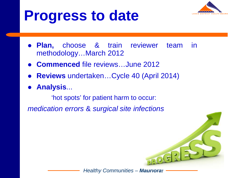

### **Progress to date**

- **Plan,** choose & train reviewer team in methodology…March 2012
- **Commenced** file reviews…June 2012
- **Reviews** undertaken…Cycle 40 (April 2014)
- **Analysis**...

'hot spots' for patient harm to occur:

*medication errors* & *surgical site infections*

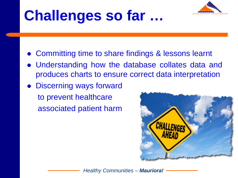

# **Challenges so far …**

- Committing time to share findings & lessons learnt
- Understanding how the database collates data and produces charts to ensure correct data interpretation
- Discerning ways forward to prevent healthcare associated patient harm

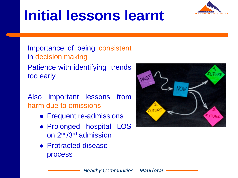# **Initial lessons learnt**



Importance of being consistent in decision making Patience with identifying trends too early

Also important lessons from harm due to omissions

- Frequent re-admissions
- Prolonged hospital LOS on 2nd/3rd admission
- Protracted disease process

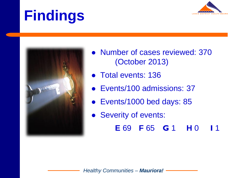# **Findings**





- Number of cases reviewed: 370 (October 2013)
- Total events: 136
- Events/100 admissions: 37
- Events/1000 bed days: 85
- Severity of events:
	- E 69 F 65 G 1 H 0  $\blacksquare$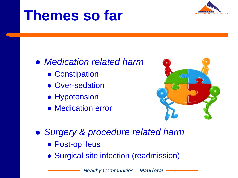### **Themes so far**



- *Medication related harm*
	- Constipation
	- Over-sedation
	- Hypotension
	- Medication error



- *Surgery & procedure related harm*
	- Post-op ileus
	- Surgical site infection (readmission)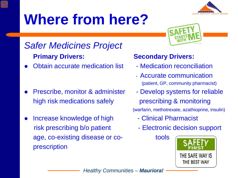# **Where from here?**



### *Safer Medicines Project* **Primary Drivers: Secondary Drivers:**

Obtain accurate medication list - Medication reconciliation

- Prescribe, monitor & administer Develop systems for reliable high risk medications safely exprescribing & monitoring
- Increase knowledge of high The Clinical Pharmacist risk prescribing b/o patient - Electronic decision support age, co-existing disease or co- tools prescription



- 
- Accurate communication (patient, GP, community pharmacist)
- (warfarin, methotrexate, azathioprine, insulin)
	-
	-

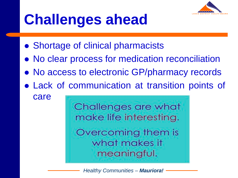

# **Challenges ahead**

- Shortage of clinical pharmacists
- No clear process for medication reconciliation
- No access to electronic GP/pharmacy records
- Lack of communication at transition points of

care

Challenges are what make life interesting. Overcoming them is what makes it meaningful.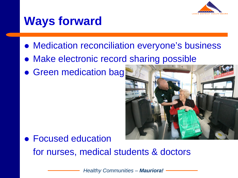

### **Ways forward**

- Medication reconciliation everyone's business
- Make electronic record sharing possible
- **Green medication bag**



**• Focused education** for nurses, medical students & doctors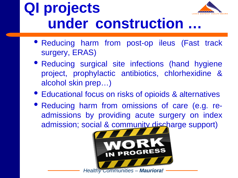### **QI projects under construction …**



- Reducing surgical site infections (hand hygiene project, prophylactic antibiotics, chlorhexidine & alcohol skin prep…)
- Educational focus on risks of opioids & alternatives
- Reducing harm from omissions of care (e.g. readmissions by providing acute surgery on index admission; social & community discharge support)

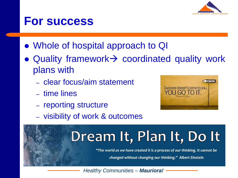

### **For success**

- Whole of hospital approach to QI
- Quality framework $\rightarrow$  coordinated quality work plans with
	- clear focus/aim statement
	- time lines
	- reporting structure



– visibility of work & outcomes

# Dream It, Plan It, Do It

"The world as we have created it is a process of our thinking. It cannot be

changed without changing our thinking." Albert Einstein